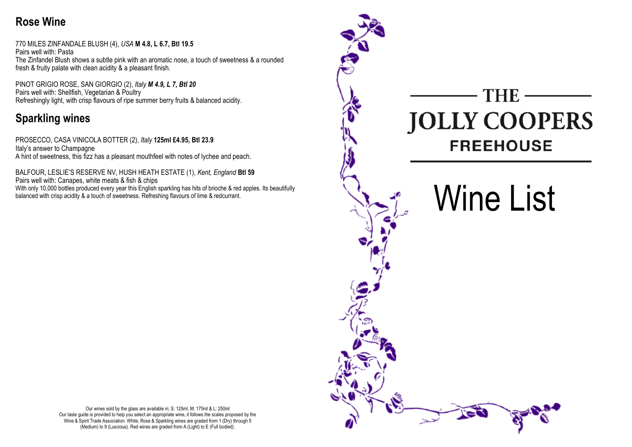## Rose Wine

770 MILES ZINFANDALE BLUSH (4), USA M 4.8, L 6.7, Btl 19.5 Pairs well with: Pasta The Zinfandel Blush shows a subtle pink with an aromatic nose, a touch of sweetness & a rounded fresh & fruity palate with clean acidity & a pleasant finish.

PINOT GRIGIO ROSE, SAN GIORGIO (2), Italy M 4.9, L 7, Btl 20 Pairs well with: Shellfish, Vegetarian & Poultry Refreshingly light, with crisp flavours of ripe summer berry fruits & balanced acidity.

## Sparkling wines

PROSECCO, CASA VINICOLA BOTTER (2), Italy 125ml £4.95, Btl 23.9 Italy's answer to Champagne A hint of sweetness, this fizz has a pleasant mouthfeel with notes of lychee and peach.

BALFOUR, LESLIE'S RESERVE NV, HUSH HEATH ESTATE (1), Kent, England Btl 59 Pairs well with: Canapes, white meats & fish & chips With only 10,000 bottles produced every year this English sparkling has hits of brioche & red apples. Its beautifully balanced with crisp acidity & a touch of sweetness. Refreshing flavours of lime & redcurrant.



Our wines sold by the glass are available in; S: 125ml, M: 175ml & L: 250ml Our taste guide is provided to help you select an appropriate wine, it follows the scales proposed by the Wine & Spirit Trade Association. White, Rose & Sparkling wines are graded from 1 (Dry) through 5 (Medium) to 9 (Luscious). Red wines are graded from A (Light) to E (Full bodied).